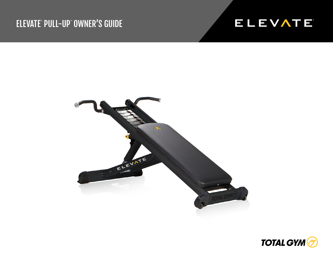## ELEVATE® PULL-UP® OWNER'S GUIDE





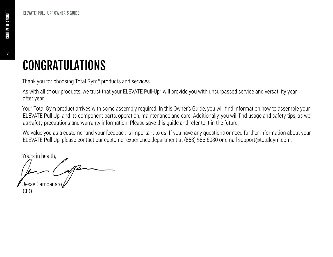2

## CONGRATULATIONS

Thank you for choosing Total Gym® products and services.

As with all of our products, we trust that your ELEVATE Pull-Up™ will provide you with unsurpassed service and versatility year after year.

Your Total Gym product arrives with some assembly required. In this Owner's Guide, you will find information how to assemble your ELEVATE Pull-Up, and its component parts, operation, maintenance and care. Additionally, you will find usage and safety tips, as well as safety precautions and warranty information. Please save this guide and refer to it in the future.

We value you as a customer and your feedback is important to us. If you have any questions or need further information about your ELEVATE Pull-Up, please contact our customer experience department at (858) 586-6080 or email support@totalgym.com.

Yours in health,

Jesse Campanaro CEO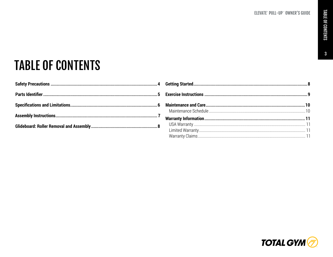$\mathbf{3}$ 

# **TABLE OF CONTENTS**

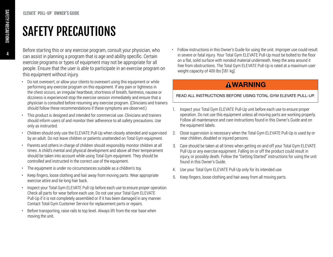## SAFETY PRECAUTIONS

Before starting this or any exercise program, consult your physician, who can assist in planning a program that is age and ability specific. Certain exercise programs or types of equipment may not be appropriate for all people. Ensure that the user is able to participate in an exercise program on this equipment without injury.

- Do not overexert, or allow your clients to overexert using this equipment or while performing any exercise program on this equipment. If any pain or tightness in the chest occurs, an irregular heartbeat, shortness of breath, faintness, nausea or dizziness is experienced stop the exercise session immediately and ensure that a physician is consulted before resuming any exercise program. (Clinicians and trainers should follow these recommendations if these symptoms are observed.)
- This product is designed and intended for commercial use. Clinicians and trainers should inform users of and monitor their adherence to all safety precautions. Use only as instructed.
- Children should only use the ELEVATE Pull-Up when closely attended and supervised by an adult. Do not leave children or patients unattended on Total Gym equipment.
- Parents and others in charge of children should responsibly monitor children at all times. A child's mental and physical development and above all their temperament should be taken into account while using Total Gym equipment. They should be controlled and instructed in the correct use of the equipment.
- The equipment is under no circumstances suitable as a children's toy.
- Keep fingers, loose clothing and hair away from moving parts. Wear appropriate exercise attire and tie long hair back.
- Inspect your Total Gym ELEVATE Pull-Up before each use to ensure proper operation. Check all parts for wear before each use. Do not use your Total Gym ELEVATE Pull-Up if it is not completely assembled or if it has been damaged in any manner. Contact Total Gym Customer Service for replacement parts or repairs.
- Before transporting, raise rails to top level. Always lift from the rear base when moving the unit.

• Follow instructions in this Owner's Guide for using the unit. Improper use could result in severe or fatal injury. Your Total Gym ELEVATE Pull-Up must be bolted to the floor on a flat, solid surface with nonskid material underneath. Keep the area around it free from obstructions. The Total Gym ELEVATE Pull-Up is rated at a maximum user weight capacity of 400 lbs [181 kg].

### **AWARNING**

READ ALL INSTRUCTIONS BEFORE USING TOTAL GYM ELEVATE PULL-UP.

- 1. Inspect your Total Gym ELEVATE Pull-Up unit before each use to ensure proper operation. Do not use this equipment unless all moving parts are working properly. Follow all maintenance and care instructions found in this Owner's Guide and on the equipment labels.
- 2. Close supervision is necessary when the Total Gym ELEVATE Pull-Up is used by or near children, disabled or injured persons.
- 3. Care should be taken at all times when getting on and off your Total Gym ELEVATE Pull-Up or any exercise equipment. Falling on or off the product could result in injury, or possibly death. Follow the "Getting Started" instructions for using the unit found in this Owner's Guide.
- 4. Use your Total Gym ELEVATE Pull-Up only for its intended use.
- 5. Keep fingers, loose clothing and hair away from all moving parts.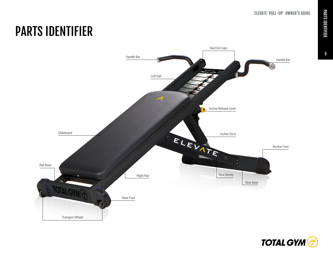#### $\overline{\text{E}}$ levate $\overline{\text{E}}$ 's Guide et al. (1) and (1) and (1) and (1) and (1) and (1) and (1) and (1) and (1) and (1) and (1) and (1) and (1) and (1) and (1) and (1) and (1) and (1) and (1) and (1) and (1) and (1) and (1) **ELEVATE<sup>®</sup> PULL-UP™ OWNER'S GUIDE**

### 5

## PARTS IDENTIFIER



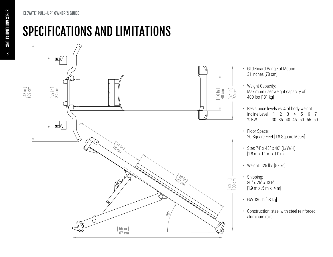ELEVATE® PULL-UP™ OWNER'S GUIDE

SPECIFICATIONS AND LIMITATIONS



- Glideboard Range of Motion: 31 inches [78 cm]
- Weight Capacity: Maximum user weight capacity of 400 lbs [181 kg]
- Resistance levels vs % of body weight: Incline Level 1 2 3 4 5 6 7<br>% BW 30 35 40 45 50 55 60 % BW 30 35 40 45 50 55 60
- Floor Space: 20 Square Feet [1.8 Square Meter]
- Size: 74" x 43" x 40" (L/W/H)  $[1.8 \text{ m} \times 1.1 \text{ m} \times 1.0 \text{ m}]$
- Weight: 125 lbs [57 kg]
- Shipping: 80" x 26" x 13.5"  $[1.9 \text{ m} \times .5 \text{ m} \times .4 \text{ m}]$
- GW 136 lb [63 kg]
- Construction: steel with steel reinforced aluminum rails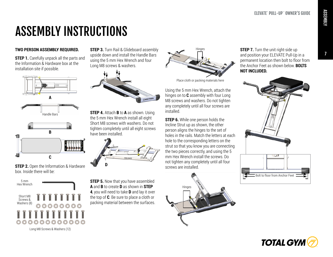## ASSEMBLY INSTRUCTIONS

#### **TWO PERSON ASSEMBLY REQUIRED.**

**STEP 1.** Carefully unpack all the parts and the Information & Hardware box at the installation site if possible.







**STEP 2.** Open the Information & Hardware box. Inside there will be:



**STEP 3.** Turn Rail & Glideboard assembly upside down and install the Handle Bars using the 5 mm Hex Wrench and four Long M8 screws & washers.



**STEP 4.** Attach **B** to **A** as shown. Using the 5 mm Hex Wrench install all eight Short M8 screws with washers. Do not tighten completely until all eight screws have been installed.



**STEP 5.** Now that you have assembled **A** and **B** to create **D** as shown in **STEP 4**, you will need to take **D** and lay it over the top of **C**. Be sure to place a cloth or packing material between the surfaces.



Place cloth or packing materials here

Using the 5 mm Hex Wrench, attach the hinges on to **C** assembly with four Long M8 screws and washers. Do not tighten any completely until all four screws are installed.

**STEP 6.** While one person holds the Incline Strut up as shown, the other person aligns the hinges to the set of holes in the rails. Match the letters at each hole to the corresponding letters on the strut so that you know you are connecting the two pieces correctly, and using the 5 mm Hex Wrench install the screws. Do not tighten any completely until all four screws are installed.



**STEP 7.** Turn the unit right-side up and position your ELEVATE Pull-Up in a permanent location then bolt to floor from the Anchor Feet as shown below. **BOLTS NOT INCLUDED.**





7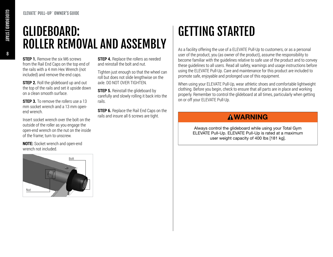#### ELEVATE® PULL-UP™ OWNER'S GUIDE

## GLIDEBOARD: ROLLER REMOVAL AND ASSEMBLY

**STEP 1.** Remove the six M6 screws from the Rail End Caps on the top end of the rails with a 4 mm Hex Wrench (not included) and remove the end caps.

**STEP 2.** Roll the glideboard up and out the top of the rails and set it upside down on a clean smooth surface.

**STEP 3.** To remove the rollers use a 13 mm socket wrench and a 13 mm openend wrench.

Insert socket wrench over the bolt on the outside of the roller as you engage the open-end wrench on the nut on the inside of the frame; turn to unscrew.

**NOTE:** Socket wrench and open-end wrench not included.

**STEP 4.** Replace the rollers as needed and reinstall the bolt and nut.

Tighten just enough so that the wheel can roll but does not slide lengthwise on the axle. DO NOT OVER TIGHTEN.

**STEP 5.** Reinstall the glideboard by carefully and slowly rolling it back into the rails.

**STEP 6.** Replace the Rail End Caps on the rails and insure all 6 screws are tight.

## GETTING STARTED

As a facility offering the use of a ELEVATE Pull-Up to customers, or as a personal user of the product, you (as owner of the product), assume the responsibility to become familiar with the guidelines relative to safe use of the product and to convey these guidelines to all users. Read all safety, warnings and usage instructions before using the ELEVATE Pull-Up. Care and maintenance for this product are included to promote safe, enjoyable and prolonged use of this equipment.

When using your ELEVATE Pull-Up, wear athletic shoes and comfortable lightweight clothing. Before you begin, check to ensure that all parts are in place and working properly. Remember to control the glideboard at all times, particularly when getting on or off your ELEVATE Pull-Up.

### **AWARNING**

Always control the glideboard while using your Total Gym ELEVATE Pull-Up. ELEVATE Pull-Up is rated at a maximum user weight capacity of 400 lbs [181 kg].

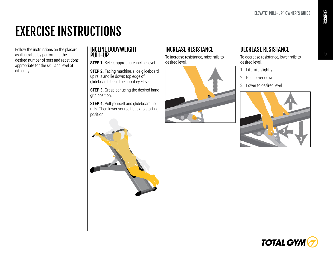## EXERCISE INSTRUCTIONS

Follow the instructions on the placard as illustrated by performing the desired number of sets and repetitions appropriate for the skill and level of difficulty.

#### INCLINE BODYWEIGHT PULL-UP

**STEP 1.** Select appropriate incline level.

**STEP 2.** Facing machine, slide glideboard up rails and lie down; top edge of glideboard should be about eye-level.

**STEP 3.** Grasp bar using the desired hand grip position.

**STEP 4.** Pull yourself and glideboard up rails. Then lower yourself back to starting position.



To increase resistance, raise rails to desired level.



## DECREASE RESISTANCE

To decrease resistance, lower rails to desired level.

- 1. Lift rails slightly
- 2. Push lever down
- 3. Lower to desired level





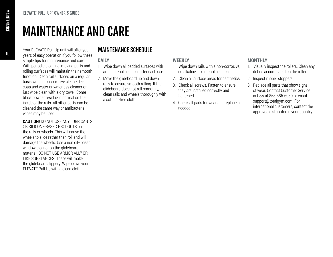10

Your ELEVATE Pull-Up unit will offer you years of easy operation if you follow these simple tips for maintenance and care. With periodic cleaning, moving parts and rolling surfaces will maintain their smooth function. Clean rail surfaces on a regular basis with a noncorrosive cleaner like soap and water or waterless cleaner or just wipe clean with a dry towel. Some black powder residue is normal on the inside of the rails. All other parts can be cleaned the same way or antibacterial wipes may be used.

#### **CAUTION!** DO NOT USE ANY LUBRICANTS

OR SILICONE-BASED PRODUCTS on the rails or wheels. This will cause the wheels to slide rather than roll and will damage the wheels. Use a non oil–based window cleaner on the glideboard material. DO NOT USE ARMOR ALL® OR LIKE SUBSTANCES. These will make the glideboard slippery. Wipe down your ELEVATE Pull-Up with a clean cloth.

### MAINTENANCE SCHEDULE

#### **DAILY**

- 1. Wipe down all padded surfaces with antibacterial cleanser after each use.
- 2. Move the glideboard up and down rails to ensure smooth rolling. If the glideboard does not roll smoothly, clean rails and wheels thoroughly with a soft lint-free cloth.

#### **WEEKLY**

- 1. Wipe down rails with a non-corrosive, no alkaline, no alcohol cleanser.
- 2. Clean all surface areas for aesthetics.
- 3. Check all screws. Fasten to ensure they are installed correctly and tightened.
- 4. Check all pads for wear and replace as needed.

#### **MONTHLY**

- 1. Visually inspect the rollers. Clean any debris accumulated on the roller.
- 2. Inspect rubber stoppers.
- 3. Replace all parts that show signs of wear. Contact Customer Service in USA at 858-586-6080 or email support@totalgym.com. For international customers, contact the approved distributor in your country.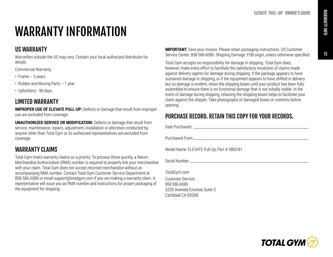### 11

# WARRANTY INFORMATION

### US WARRANTY

Warranties outside the US may vary. Contact your local authorized distributor for details.

Commercial Warranty:

- Frame 5 years
- Rubber and Moving Parts 1 year
- Upholstery 90 days

### LIMITED WARRANTY

**IMPROPER USE OF ELEVATE PULL-UP:** Defects or damage that result from improper use are excluded from coverage.

**UNAUTHORIZED SERVICE OR MODIFICATION:** Defects or damage that result from service, maintenance, repairs, adjustment, installation or alteration conducted by anyone other than Total Gym or its authorized representatives are excluded from coverage.

### WARRANTY CLAIMS

Total Gym treats warranty claims as a priority. To process these quickly, a Return Merchandise Authorization (RMA) number is required to properly link your merchandise with your claim. Total Gym does not accept returned merchandise without an accompanying RMA number. Contact Total Gym Customer Service Department at 858-586-6080 or email support@totalgym.com if you are making a warranty claim. A representative will issue you an RMA number and instructions for proper packaging of the equipment for shipping.

**IMPORTANT:** Save your invoice. Please retain packaging instructions. US Customer Service Center: 858-586-6080. Shipping Damage: FOB origin, unless otherwise specified.

Total Gym accepts no responsibility for damage in shipping. Total Gym does, however, make every effort to facilitate the satisfactory resolution of claims made against delivery agents for damage during shipping. If the package appears to have sustained damage in shipping, or if the equipment appears to have shifted in delivery but no damage is evident, retain the shipping boxes until your product has been fully assembled to ensure there is no functional damage that is not initially visible. In the event of damage during shipping, retaining the shipping boxes helps to facilitate your claim against the shipper. Take photographs of damaged boxes or contents before opening.

### PURCHASE RECORD. RETAIN THIS COPY FOR YOUR RECORDS.

Date Purchased \_\_\_\_\_\_\_\_\_\_\_\_\_\_\_\_\_\_\_\_\_\_\_\_\_\_\_\_\_\_\_\_\_\_\_\_\_\_\_\_\_\_\_\_\_\_\_\_\_\_\_\_\_\_\_\_\_\_\_\_\_\_\_\_\_\_\_\_\_\_

Purchased From \_\_\_\_\_\_\_\_\_\_\_\_\_\_\_\_\_\_\_\_\_\_\_\_\_\_\_\_\_\_\_\_\_\_\_\_\_\_\_\_\_\_\_\_\_\_\_\_\_\_\_\_\_\_\_\_\_\_\_\_\_\_\_\_\_\_\_\_\_\_

Model Name: ELEVATE Pull-Up, Part # 5800-B1

Serial Number and the series of the series of the series of the series of the series of the series of the series of the series of the series of the series of the series of the series of the series of the series of the seri

TotalGym.com

Customer Service: 858.586.6080 5225 Avenida Encinas Suite C Carlsbad CA 92008